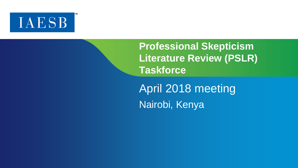

**Professional Skepticism Literature Review (PSLR) Taskforce**

April 2018 meeting Nairobi, Kenya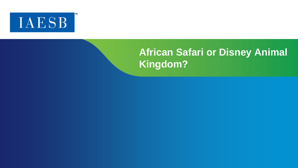

# **African Safari or Disney Animal Kingdom?**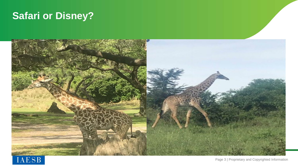## **Safari or Disney?**



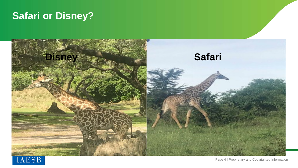### **Safari or Disney?**



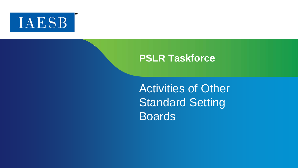

Activities of Other Standard Setting Boards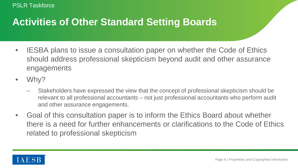### **Activities of Other Standard Setting Boards**

- IESBA plans to issue a consultation paper on whether the Code of Ethics should address professional skepticism beyond audit and other assurance engagements
- Why?
	- Stakeholders have expressed the view that the concept of professional skepticism should be relevant to all professional accountants – not just professional accountants who perform audit and other assurance engagements.
- Goal of this consultation paper is to inform the Ethics Board about whether there is a need for further enhancements or clarifications to the Code of Ethics related to professional skepticism

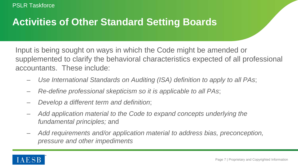## **Activities of Other Standard Setting Boards**

Input is being sought on ways in which the Code might be amended or supplemented to clarify the behavioral characteristics expected of all professional accountants. These include:

- *Use International Standards on Auditing (ISA) definition to apply to all PAs*;
- *Re-define professional skepticism so it is applicable to all PAs*;
- *Develop a different term and definition*;
- *Add application material to the Code to expand concepts underlying the fundamental principles;* and
- *Add requirements and/or application material to address bias, preconception, pressure and other impediments*

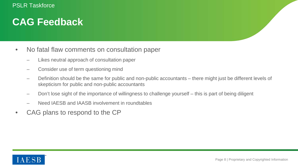#### **CAG Feedback**

- No fatal flaw comments on consultation paper
	- Likes neutral approach of consultation paper
	- Consider use of term questioning mind
	- Definition should be the same for public and non-public accountants there might just be different levels of skepticism for public and non-public accountants
	- Don't lose sight of the importance of willingness to challenge yourself this is part of being diligent
	- Need IAESB and IAASB involvement in roundtables
- CAG plans to respond to the CP

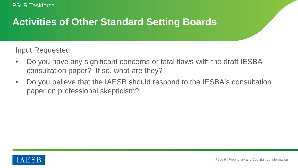#### **Activities of Other Standard Setting Boards**

Input Requested

- Do you have any significant concerns or fatal flaws with the draft IESBA consultation paper? If so, what are they?
- Do you believe that the IAESB should respond to the IESBA's consultation paper on professional skepticism?

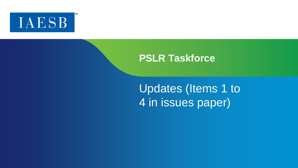

Updates (Items 1 to 4 in issues paper)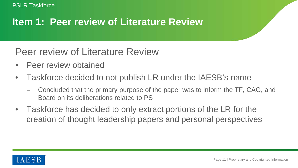### **Item 1: Peer review of Literature Review**

Peer review of Literature Review

- Peer review obtained
- Taskforce decided to not publish LR under the IAESB's name
	- Concluded that the primary purpose of the paper was to inform the TF, CAG, and Board on its deliberations related to PS
- Taskforce has decided to only extract portions of the LR for the creation of thought leadership papers and personal perspectives

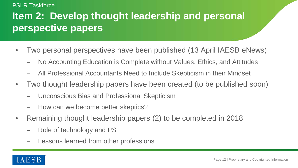# **Item 2: Develop thought leadership and personal perspective papers**

- Two personal perspectives have been published (13 April IAESB eNews)
	- No Accounting Education is Complete without Values, Ethics, and Attitudes
	- All Professional Accountants Need to Include Skepticism in their Mindset
- Two thought leadership papers have been created (to be published soon)
	- Unconscious Bias and Professional Skepticism
	- How can we become better skeptics?
- Remaining thought leadership papers (2) to be completed in 2018
	- Role of technology and PS
	- Lessons learned from other professions

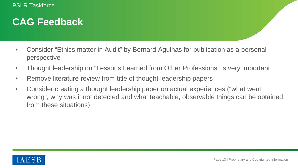#### **CAG Feedback**

- Consider "Ethics matter in Audit" by Bernard Agulhas for publication as a personal perspective
- Thought leadership on "Lessons Learned from Other Professions" is very important
- Remove literature review from title of thought leadership papers
- Consider creating a thought leadership paper on actual experiences ("what went wrong", why was it not detected and what teachable, observable things can be obtained from these situations)

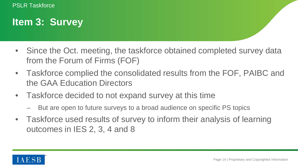#### **Item 3: Survey**

- Since the Oct. meeting, the taskforce obtained completed survey data from the Forum of Firms (FOF)
- Taskforce complied the consolidated results from the FOF, PAIBC and the GAA Education Directors
- Taskforce decided to not expand survey at this time
	- But are open to future surveys to a broad audience on specific PS topics
- Taskforce used results of survey to inform their analysis of learning outcomes in IES 2, 3, 4 and 8

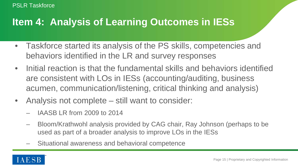#### **Item 4: Analysis of Learning Outcomes in IESs**

- Taskforce started its analysis of the PS skills, competencies and behaviors identified in the LR and survey responses
- Initial reaction is that the fundamental skills and behaviors identified are consistent with LOs in IESs (accounting/auditing, business acumen, communication/listening, critical thinking and analysis)
- Analysis not complete still want to consider:
	- IAASB LR from 2009 to 2014
	- Bloom/Krathwohl analysis provided by CAG chair, Ray Johnson (perhaps to be used as part of a broader analysis to improve LOs in the IESs
	- Situational awareness and behavioral competence

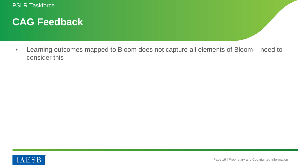#### **CAG Feedback**

• Learning outcomes mapped to Bloom does not capture all elements of Bloom – need to consider this

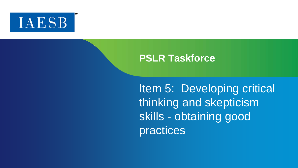

Item 5: Developing critical thinking and skepticism skills - obtaining good practices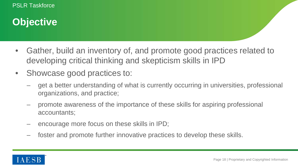## **Objective**

- Gather, build an inventory of, and promote good practices related to developing critical thinking and skepticism skills in IPD
- Showcase good practices to:
	- get a better understanding of what is currently occurring in universities, professional organizations, and practice;
	- promote awareness of the importance of these skills for aspiring professional accountants;
	- encourage more focus on these skills in IPD;
	- foster and promote further innovative practices to develop these skills.

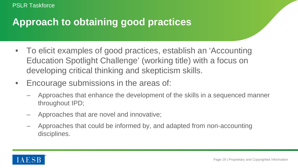### **Approach to obtaining good practices**

- To elicit examples of good practices, establish an 'Accounting Education Spotlight Challenge' (working title) with a focus on developing critical thinking and skepticism skills.
- Encourage submissions in the areas of:
	- Approaches that enhance the development of the skills in a sequenced manner throughout IPD;
	- Approaches that are novel and innovative;
	- Approaches that could be informed by, and adapted from non-accounting disciplines.

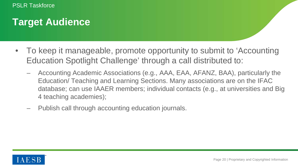## **Target Audience**

- To keep it manageable, promote opportunity to submit to 'Accounting Education Spotlight Challenge' through a call distributed to:
	- Accounting Academic Associations (e.g., AAA, EAA, AFANZ, BAA), particularly the Education/ Teaching and Learning Sections. Many associations are on the IFAC database; can use IAAER members; individual contacts (e.g., at universities and Big 4 teaching academies);
	- Publish call through accounting education journals.

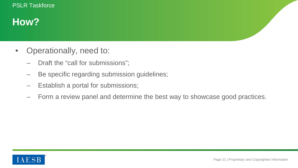## **How?**

- Operationally, need to:
	- Draft the "call for submissions";
	- Be specific regarding submission guidelines;
	- Establish a portal for submissions;
	- Form a review panel and determine the best way to showcase good practices.

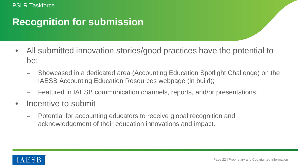### **Recognition for submission**

- All submitted innovation stories/good practices have the potential to be:
	- Showcased in a dedicated area (Accounting Education Spotlight Challenge) on the IAESB Accounting Education Resources webpage (in build);
	- Featured in IAESB communication channels, reports, and/or presentations.
- Incentive to submit
	- Potential for accounting educators to receive global recognition and acknowledgement of their education innovations and impact.

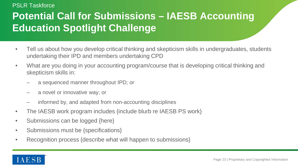# **Potential Call for Submissions – IAESB Accounting Education Spotlight Challenge**

- Tell us about how you develop critical thinking and skepticism skills in undergraduates, students undertaking their IPD and members undertaking CPD
- What are you doing in your accounting program/course that is developing critical thinking and skepticism skills in:
	- a sequenced manner throughout IPD; or
	- a novel or innovative way; or
	- informed by, and adapted from non-accounting disciplines
- The IAESB work program includes {include blurb re IAESB PS work}
- Submissions can be logged {here}
- Submissions must be {specifications}
- Recognition process {describe what will happen to submissions}

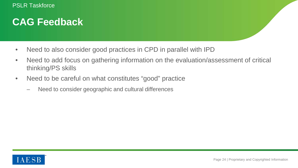#### **CAG Feedback**

- Need to also consider good practices in CPD in parallel with IPD
- Need to add focus on gathering information on the evaluation/assessment of critical thinking/PS skills
- Need to be careful on what constitutes "good" practice
	- Need to consider geographic and cultural differences